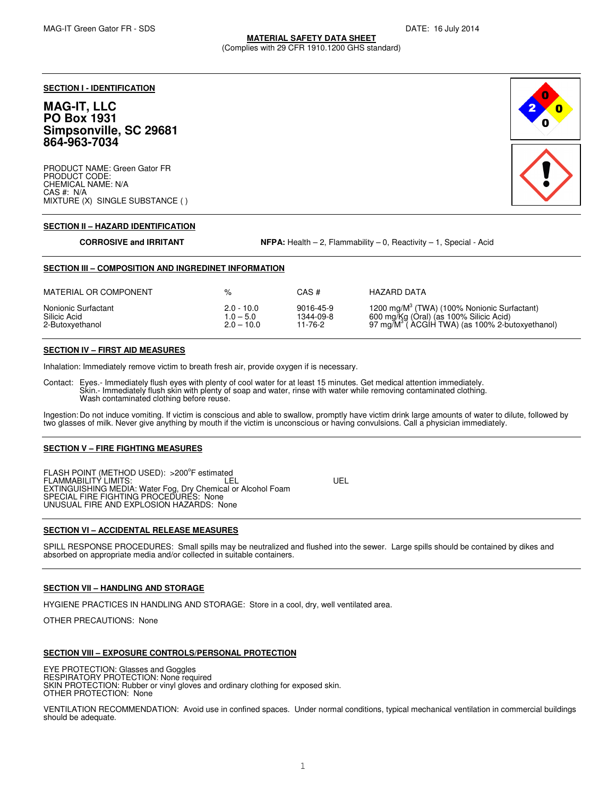# **MATERIAL SAFETY DATA SHEET**

(Complies with 29 CFR 1910.1200 GHS standard)

**SECTION I - IDENTIFICATION**

# **MAG-IT, LLC PO Box 1931 Simpsonville, SC 29681 864-963-7034**

PRODUCT NAME: Green Gator FR PRODUCT CODE: CHEMICAL NAME: N/A CAS #: N/A MIXTURE (X) SINGLE SUBSTANCE ( )



#### **SECTION II – HAZARD IDENTIFICATION**

**CORROSIVE and IRRITANT NFPA:** Health – 2, Flammability – 0, Reactivity – 1, Special - Acid

#### **SECTION III – COMPOSITION AND INGREDINET INFORMATION**

| MATERIAL OR COMPONENT | %            | CAS #     | HAZARD DATA                                                |
|-----------------------|--------------|-----------|------------------------------------------------------------|
| Nonionic Surfactant   | $2.0 - 10.0$ | 9016-45-9 | 1200 mg/M <sup>3</sup> (TWA) (100% Nonionic Surfactant)    |
| Silicic Acid          | $1.0 - 5.0$  | 1344-09-8 | 600 mg/Kg (Oral) (as 100% Silicic Acid)                    |
| 2-Butoxyethanol       | $2.0 - 10.0$ | 11-76-2   | 97 mg/M <sup>3</sup> (ACGIH TWA) (as 100% 2-butoxyethanol) |

#### **SECTION IV – FIRST AID MEASURES**

Inhalation: Immediately remove victim to breath fresh air, provide oxygen if is necessary.

Contact: Eyes.- Immediately flush eyes with plenty of cool water for at least 15 minutes. Get medical attention immediately.<br>Skin.- Immediately flush skin with plenty of soap and water, rinse with water while removing cont Wash contaminated clothing before reuse.

Ingestion: Do not induce vomiting. If victim is conscious and able to swallow, promptly have victim drink large amounts of water to dilute, followed by two glasses of milk. Never give anything by mouth if the victim is unconscious or having convulsions. Call a physician immediately.

#### **SECTION V – FIRE FIGHTING MEASURES**

FLASH POINT (METHOD USED): >200°F estimated FLAMMABILITY LIMITS: LEL UEL EXTINGUISHING MEDIA: Water Fog, Dry Chemical or Alcohol Foam SPECIAL FIRE FIGHTING PROCEDURES: None UNUSUAL FIRE AND EXPLOSION HAZARDS: None

# **SECTION VI – ACCIDENTAL RELEASE MEASURES**

SPILL RESPONSE PROCEDURES: Small spills may be neutralized and flushed into the sewer. Large spills should be contained by dikes and absorbed on appropriate media and/or collected in suitable containers.

# **SECTION VII – HANDLING AND STORAGE**

HYGIENE PRACTICES IN HANDLING AND STORAGE: Store in a cool, dry, well ventilated area.

OTHER PRECAUTIONS: None

# **SECTION VIII – EXPOSURE CONTROLS/PERSONAL PROTECTION**

EYE PROTECTION: Glasses and Goggles RESPIRATORY PROTECTION: None required SKIN PROTECTION: Rubber or vinyl gloves and ordinary clothing for exposed skin. OTHER PROTECTION: None

VENTILATION RECOMMENDATION: Avoid use in confined spaces. Under normal conditions, typical mechanical ventilation in commercial buildings should be adequate.